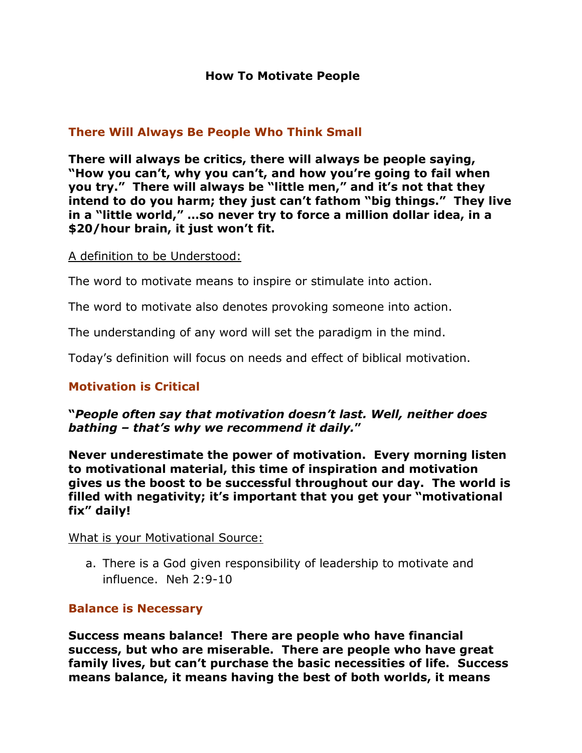# **There Will Always Be People Who Think Small**

**There will always be critics, there will always be people saying, "How you can't, why you can't, and how you're going to fail when you try." There will always be "little men," and it's not that they intend to do you harm; they just can't fathom "big things." They live in a "little world," …so never try to force a million dollar idea, in a \$20/hour brain, it just won't fit.**

#### A definition to be Understood:

The word to motivate means to inspire or stimulate into action.

The word to motivate also denotes provoking someone into action.

The understanding of any word will set the paradigm in the mind.

Today's definition will focus on needs and effect of biblical motivation.

# **Motivation is Critical**

#### **"***People often say that motivation doesn't last. Well, neither does bathing – that's why we recommend it daily.***"**

**Never underestimate the power of motivation. Every morning listen to motivational material, this time of inspiration and motivation gives us the boost to be successful throughout our day. The world is filled with negativity; it's important that you get your "motivational fix" daily!**

#### What is your Motivational Source:

a. There is a God given responsibility of leadership to motivate and influence. Neh 2:9-10

#### **Balance is Necessary**

**Success means balance! There are people who have financial success, but who are miserable. There are people who have great family lives, but can't purchase the basic necessities of life. Success means balance, it means having the best of both worlds, it means**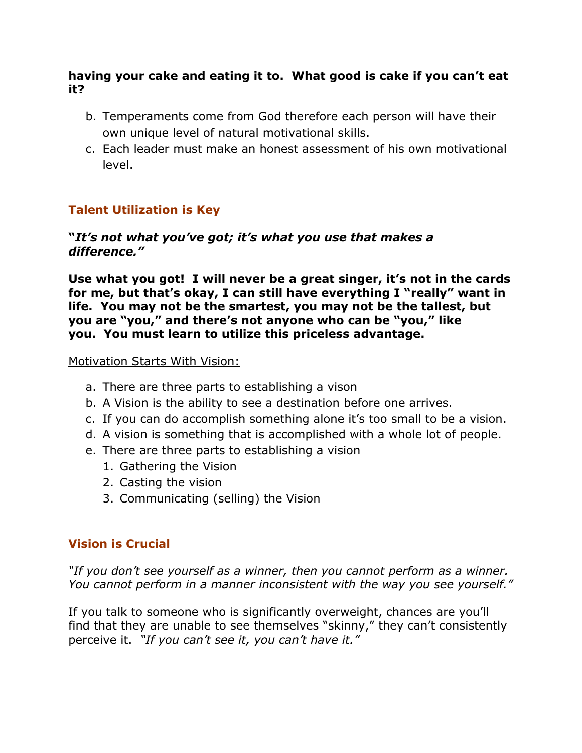### **having your cake and eating it to. What good is cake if you can't eat it?**

- b. Temperaments come from God therefore each person will have their own unique level of natural motivational skills.
- c. Each leader must make an honest assessment of his own motivational level.

# **Talent Utilization is Key**

### **"***It's not what you've got; it's what you use that makes a difference."*

**Use what you got! I will never be a great singer, it's not in the cards for me, but that's okay, I can still have everything I "really" want in life. You may not be the smartest, you may not be the tallest, but you are "you," and there's not anyone who can be "you," like you. You must learn to utilize this priceless advantage.**

Motivation Starts With Vision:

- a. There are three parts to establishing a vison
- b. A Vision is the ability to see a destination before one arrives.
- c. If you can do accomplish something alone it's too small to be a vision.
- d. A vision is something that is accomplished with a whole lot of people.
- e. There are three parts to establishing a vision
	- 1. Gathering the Vision
	- 2. Casting the vision
	- 3. Communicating (selling) the Vision

# **Vision is Crucial**

*"If you don't see yourself as a winner, then you cannot perform as a winner. You cannot perform in a manner inconsistent with the way you see yourself."*

If you talk to someone who is significantly overweight, chances are you'll find that they are unable to see themselves "skinny," they can't consistently perceive it. *"If you can't see it, you can't have it."*